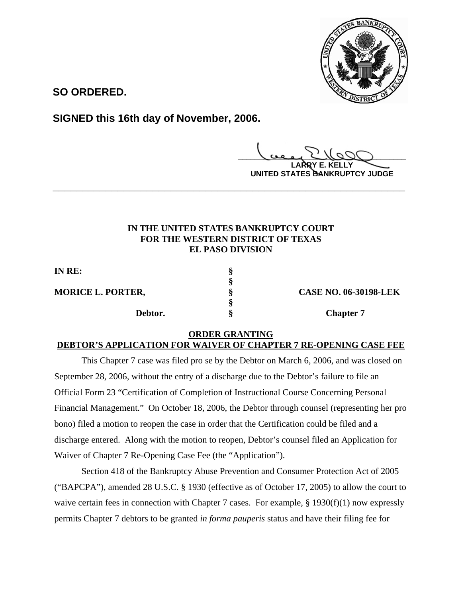

**SO ORDERED.**

**SIGNED this 16th day of November, 2006.**

**\_\_\_\_\_\_\_\_\_\_\_\_\_\_\_\_\_\_\_\_\_\_\_\_\_\_\_\_\_\_\_\_\_\_\_\_\_\_\_\_**

**LARRY E. KELLY UNITED STATES BANKRUPTCY JUDGE**

## **IN THE UNITED STATES BANKRUPTCY COURT FOR THE WESTERN DISTRICT OF TEXAS EL PASO DIVISION**

**\_\_\_\_\_\_\_\_\_\_\_\_\_\_\_\_\_\_\_\_\_\_\_\_\_\_\_\_\_\_\_\_\_\_\_\_\_\_\_\_\_\_\_\_\_\_\_\_\_\_\_\_\_\_\_\_\_\_\_\_**

| IN RE:                   |                              |
|--------------------------|------------------------------|
|                          |                              |
| <b>MORICE L. PORTER,</b> | <b>CASE NO. 06-30198-LEK</b> |
|                          |                              |
| Debtor.                  | <b>Chapter 7</b>             |

## **ORDER GRANTING**

## **DEBTOR'S APPLICATION FOR WAIVER OF CHAPTER 7 RE-OPENING CASE FEE**

This Chapter 7 case was filed pro se by the Debtor on March 6, 2006, and was closed on September 28, 2006, without the entry of a discharge due to the Debtor's failure to file an Official Form 23 "Certification of Completion of Instructional Course Concerning Personal Financial Management." On October 18, 2006, the Debtor through counsel (representing her pro bono) filed a motion to reopen the case in order that the Certification could be filed and a discharge entered. Along with the motion to reopen, Debtor's counsel filed an Application for Waiver of Chapter 7 Re-Opening Case Fee (the "Application").

Section 418 of the Bankruptcy Abuse Prevention and Consumer Protection Act of 2005 ("BAPCPA"), amended 28 U.S.C. § 1930 (effective as of October 17, 2005) to allow the court to waive certain fees in connection with Chapter 7 cases. For example, § 1930(f)(1) now expressly permits Chapter 7 debtors to be granted *in forma pauperis* status and have their filing fee for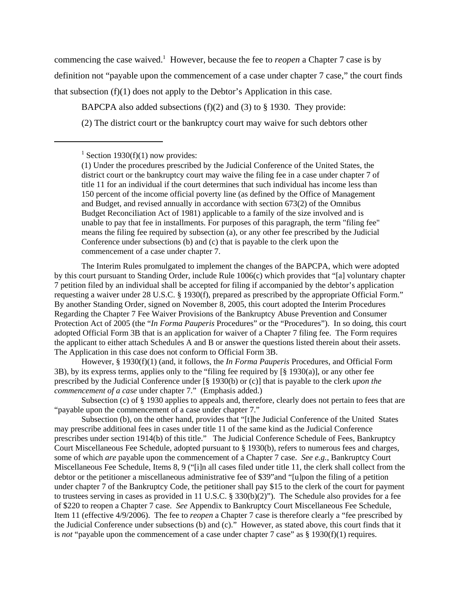commencing the case waived.<sup>1</sup> However, because the fee to *reopen* a Chapter 7 case is by definition not "payable upon the commencement of a case under chapter 7 case," the court finds that subsection (f)(1) does not apply to the Debtor's Application in this case.

BAPCPA also added subsections (f)(2) and (3) to § 1930. They provide:

(2) The district court or the bankruptcy court may waive for such debtors other

The Interim Rules promulgated to implement the changes of the BAPCPA, which were adopted by this court pursuant to Standing Order, include Rule 1006(c) which provides that "[a] voluntary chapter 7 petition filed by an individual shall be accepted for filing if accompanied by the debtor's application requesting a waiver under 28 U.S.C. § 1930(f), prepared as prescribed by the appropriate Official Form." By another Standing Order, signed on November 8, 2005, this court adopted the Interim Procedures Regarding the Chapter 7 Fee Waiver Provisions of the Bankruptcy Abuse Prevention and Consumer Protection Act of 2005 (the "*In Forma Pauperis* Procedures" or the "Procedures"). In so doing, this court adopted Official Form 3B that is an application for waiver of a Chapter 7 filing fee. The Form requires the applicant to either attach Schedules A and B or answer the questions listed therein about their assets. The Application in this case does not conform to Official Form 3B.

However, § 1930(f)(1) (and, it follows, the *In Forma Pauperis* Procedures, and Official Form 3B), by its express terms, applies only to the "filing fee required by [§ 1930(a)], or any other fee prescribed by the Judicial Conference under [§ 1930(b) or (c)] that is payable to the clerk *upon the commencement of a case* under chapter 7." (Emphasis added.)

Subsection (c) of § 1930 applies to appeals and, therefore, clearly does not pertain to fees that are "payable upon the commencement of a case under chapter 7."

Subsection (b), on the other hand, provides that "[t]he Judicial Conference of the United States may prescribe additional fees in cases under title 11 of the same kind as the Judicial Conference prescribes under section 1914(b) of this title." The Judicial Conference Schedule of Fees, Bankruptcy Court Miscellaneous Fee Schedule, adopted pursuant to § 1930(b), refers to numerous fees and charges, some of which *are* payable upon the commencement of a Chapter 7 case. *See e.g.,* Bankruptcy Court Miscellaneous Fee Schedule, Items 8, 9 ("[i]n all cases filed under title 11, the clerk shall collect from the debtor or the petitioner a miscellaneous administrative fee of \$39"and "[u]pon the filing of a petition under chapter 7 of the Bankruptcy Code, the petitioner shall pay \$15 to the clerk of the court for payment to trustees serving in cases as provided in 11 U.S.C. § 330(b)(2)"). The Schedule also provides for a fee of \$220 to reopen a Chapter 7 case. *See* Appendix to Bankruptcy Court Miscellaneous Fee Schedule, Item 11 (effective 4/9/2006). The fee to *reopen* a Chapter 7 case is therefore clearly a "fee prescribed by the Judicial Conference under subsections (b) and (c)." However, as stated above, this court finds that it is *not* "payable upon the commencement of a case under chapter 7 case" as § 1930(f)(1) requires.

<sup>&</sup>lt;sup>1</sup> Section 1930(f)(1) now provides:

<sup>(1)</sup> Under the procedures prescribed by the Judicial Conference of the United States, the district court or the bankruptcy court may waive the filing fee in a case under chapter 7 of title 11 for an individual if the court determines that such individual has income less than 150 percent of the income official poverty line (as defined by the Office of Management and Budget, and revised annually in accordance with section 673(2) of the Omnibus Budget Reconciliation Act of 1981) applicable to a family of the size involved and is unable to pay that fee in installments. For purposes of this paragraph, the term "filing fee" means the filing fee required by subsection (a), or any other fee prescribed by the Judicial Conference under subsections (b) and (c) that is payable to the clerk upon the commencement of a case under chapter 7.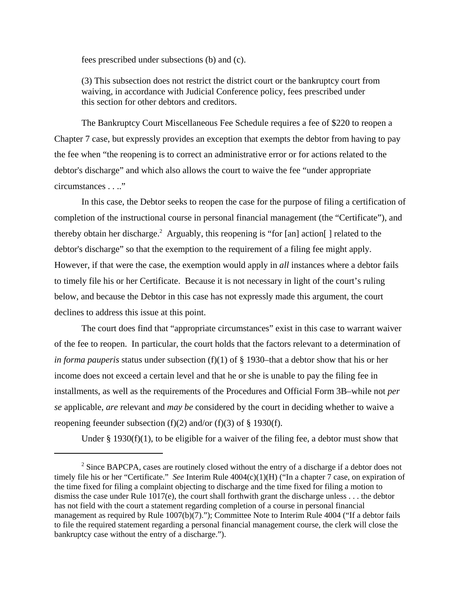fees prescribed under subsections (b) and (c).

(3) This subsection does not restrict the district court or the bankruptcy court from waiving, in accordance with Judicial Conference policy, fees prescribed under this section for other debtors and creditors.

The Bankruptcy Court Miscellaneous Fee Schedule requires a fee of \$220 to reopen a Chapter 7 case, but expressly provides an exception that exempts the debtor from having to pay the fee when "the reopening is to correct an administrative error or for actions related to the debtor's discharge" and which also allows the court to waive the fee "under appropriate circumstances . . .."

In this case, the Debtor seeks to reopen the case for the purpose of filing a certification of completion of the instructional course in personal financial management (the "Certificate"), and thereby obtain her discharge.<sup>2</sup> Arguably, this reopening is "for [an] action[] related to the debtor's discharge" so that the exemption to the requirement of a filing fee might apply. However, if that were the case, the exemption would apply in *all* instances where a debtor fails to timely file his or her Certificate. Because it is not necessary in light of the court's ruling below, and because the Debtor in this case has not expressly made this argument, the court declines to address this issue at this point.

The court does find that "appropriate circumstances" exist in this case to warrant waiver of the fee to reopen. In particular, the court holds that the factors relevant to a determination of *in forma pauperis* status under subsection (f)(1) of § 1930–that a debtor show that his or her income does not exceed a certain level and that he or she is unable to pay the filing fee in installments, as well as the requirements of the Procedures and Official Form 3B–while not *per se* applicable, *are* relevant and *may be* considered by the court in deciding whether to waive a reopening feeunder subsection (f)(2) and/or (f)(3) of  $\S$  1930(f).

Under  $\S$  1930(f)(1), to be eligible for a waiver of the filing fee, a debtor must show that

 $2^2$  Since BAPCPA, cases are routinely closed without the entry of a discharge if a debtor does not timely file his or her "Certificate." *See* Interim Rule 4004(c)(1)(H) ("In a chapter 7 case, on expiration of the time fixed for filing a complaint objecting to discharge and the time fixed for filing a motion to dismiss the case under Rule  $1017(e)$ , the court shall forthwith grant the discharge unless . . . the debtor has not field with the court a statement regarding completion of a course in personal financial management as required by Rule 1007(b)(7)."); Committee Note to Interim Rule 4004 ("If a debtor fails to file the required statement regarding a personal financial management course, the clerk will close the bankruptcy case without the entry of a discharge.").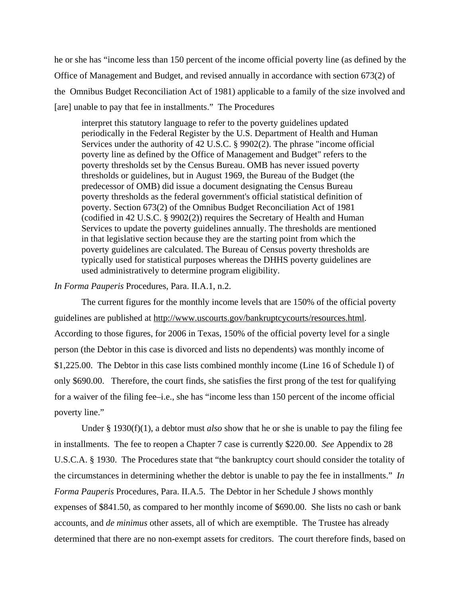he or she has "income less than 150 percent of the income official poverty line (as defined by the Office of Management and Budget, and revised annually in accordance with section 673(2) of the Omnibus Budget Reconciliation Act of 1981) applicable to a family of the size involved and [are] unable to pay that fee in installments." The Procedures

interpret this statutory language to refer to the poverty guidelines updated periodically in the Federal Register by the U.S. Department of Health and Human Services under the authority of 42 U.S.C. § 9902(2). The phrase "income official poverty line as defined by the Office of Management and Budget" refers to the poverty thresholds set by the Census Bureau. OMB has never issued poverty thresholds or guidelines, but in August 1969, the Bureau of the Budget (the predecessor of OMB) did issue a document designating the Census Bureau poverty thresholds as the federal government's official statistical definition of poverty. Section 673(2) of the Omnibus Budget Reconciliation Act of 1981 (codified in 42 U.S.C. § 9902(2)) requires the Secretary of Health and Human Services to update the poverty guidelines annually. The thresholds are mentioned in that legislative section because they are the starting point from which the poverty guidelines are calculated. The Bureau of Census poverty thresholds are typically used for statistical purposes whereas the DHHS poverty guidelines are used administratively to determine program eligibility.

## *In Forma Pauperis* Procedures, Para. II.A.1, n.2.

The current figures for the monthly income levels that are 150% of the official poverty guidelines are published at http://www.uscourts.gov/bankruptcycourts/resources.html. According to those figures, for 2006 in Texas, 150% of the official poverty level for a single person (the Debtor in this case is divorced and lists no dependents) was monthly income of \$1,225.00. The Debtor in this case lists combined monthly income (Line 16 of Schedule I) of only \$690.00. Therefore, the court finds, she satisfies the first prong of the test for qualifying for a waiver of the filing fee–i.e., she has "income less than 150 percent of the income official poverty line."

Under § 1930(f)(1), a debtor must *also* show that he or she is unable to pay the filing fee in installments. The fee to reopen a Chapter 7 case is currently \$220.00. *See* Appendix to 28 U.S.C.A. § 1930. The Procedures state that "the bankruptcy court should consider the totality of the circumstances in determining whether the debtor is unable to pay the fee in installments." *In Forma Pauperis* Procedures, Para. II.A.5. The Debtor in her Schedule J shows monthly expenses of \$841.50, as compared to her monthly income of \$690.00. She lists no cash or bank accounts, and *de minimus* other assets, all of which are exemptible. The Trustee has already determined that there are no non-exempt assets for creditors. The court therefore finds, based on